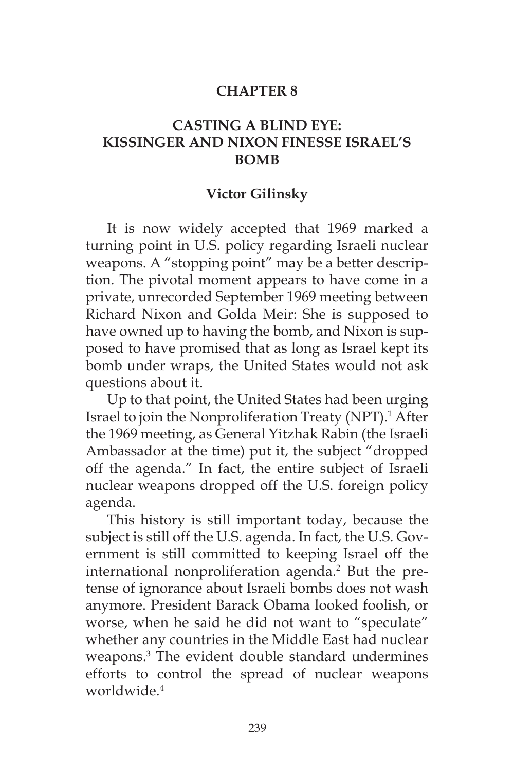### **CHAPTER 8**

# **CASTING A BLIND EYE: KISSINGER AND NIXON FINESSE ISRAEL'S BOMB**

### **Victor Gilinsky**

It is now widely accepted that 1969 marked a turning point in U.S. policy regarding Israeli nuclear weapons. A "stopping point" may be a better description. The pivotal moment appears to have come in a private, unrecorded September 1969 meeting between Richard Nixon and Golda Meir: She is supposed to have owned up to having the bomb, and Nixon is supposed to have promised that as long as Israel kept its bomb under wraps, the United States would not ask questions about it.

Up to that point, the United States had been urging Israel to join the Nonproliferation Treaty (NPT).<sup>1</sup> After the 1969 meeting, as General Yitzhak Rabin (the Israeli Ambassador at the time) put it, the subject "dropped off the agenda." In fact, the entire subject of Israeli nuclear weapons dropped off the U.S. foreign policy agenda.

This history is still important today, because the subject is still off the U.S. agenda. In fact, the U.S. Government is still committed to keeping Israel off the international nonproliferation agenda.<sup>2</sup> But the pretense of ignorance about Israeli bombs does not wash anymore. President Barack Obama looked foolish, or worse, when he said he did not want to "speculate" whether any countries in the Middle East had nuclear weapons.3 The evident double standard undermines efforts to control the spread of nuclear weapons worldwide.4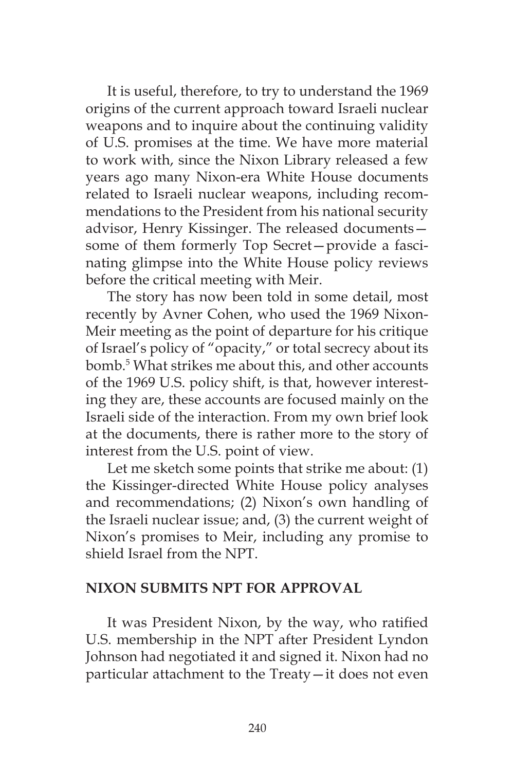It is useful, therefore, to try to understand the 1969 origins of the current approach toward Israeli nuclear weapons and to inquire about the continuing validity of U.S. promises at the time. We have more material to work with, since the Nixon Library released a few years ago many Nixon-era White House documents related to Israeli nuclear weapons, including recommendations to the President from his national security advisor, Henry Kissinger. The released documents some of them formerly Top Secret—provide a fascinating glimpse into the White House policy reviews before the critical meeting with Meir.

The story has now been told in some detail, most recently by Avner Cohen, who used the 1969 Nixon-Meir meeting as the point of departure for his critique of Israel's policy of "opacity," or total secrecy about its bomb.5 What strikes me about this, and other accounts of the 1969 U.S. policy shift, is that, however interesting they are, these accounts are focused mainly on the Israeli side of the interaction. From my own brief look at the documents, there is rather more to the story of interest from the U.S. point of view.

Let me sketch some points that strike me about: (1) the Kissinger-directed White House policy analyses and recommendations; (2) Nixon's own handling of the Israeli nuclear issue; and, (3) the current weight of Nixon's promises to Meir, including any promise to shield Israel from the NPT.

#### **NIXON SUBMITS NPT FOR APPROVAL**

It was President Nixon, by the way, who ratified U.S. membership in the NPT after President Lyndon Johnson had negotiated it and signed it. Nixon had no particular attachment to the Treaty—it does not even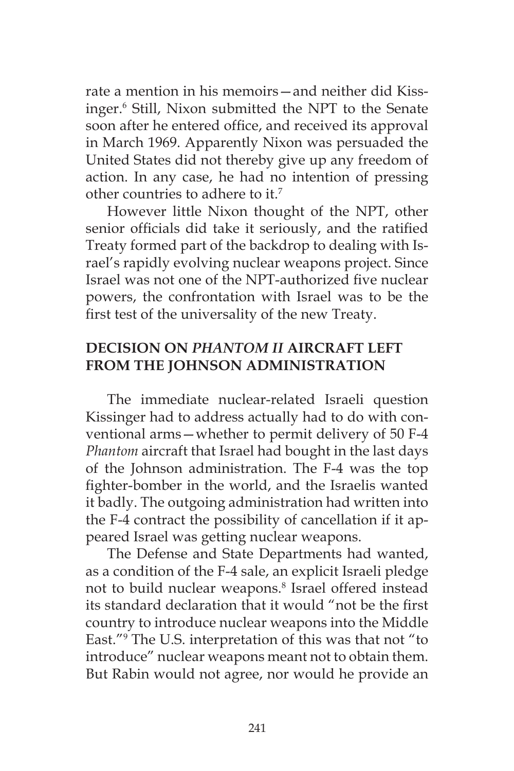rate a mention in his memoirs—and neither did Kissinger.6 Still, Nixon submitted the NPT to the Senate soon after he entered office, and received its approval in March 1969. Apparently Nixon was persuaded the United States did not thereby give up any freedom of action. In any case, he had no intention of pressing other countries to adhere to it.<sup>7</sup>

However little Nixon thought of the NPT, other senior officials did take it seriously, and the ratified Treaty formed part of the backdrop to dealing with Israel's rapidly evolving nuclear weapons project. Since Israel was not one of the NPT-authorized five nuclear powers, the confrontation with Israel was to be the first test of the universality of the new Treaty.

# **DECISION ON** *PHANTOM II* **AIRCRAFT LEFT FROM THE JOHNSON ADMINISTRATION**

The immediate nuclear-related Israeli question Kissinger had to address actually had to do with conventional arms—whether to permit delivery of 50 F-4 *Phantom* aircraft that Israel had bought in the last days of the Johnson administration. The F-4 was the top fighter-bomber in the world, and the Israelis wanted it badly. The outgoing administration had written into the F-4 contract the possibility of cancellation if it appeared Israel was getting nuclear weapons.

The Defense and State Departments had wanted, as a condition of the F-4 sale, an explicit Israeli pledge not to build nuclear weapons.<sup>8</sup> Israel offered instead its standard declaration that it would "not be the first country to introduce nuclear weapons into the Middle East."9 The U.S. interpretation of this was that not "to introduce" nuclear weapons meant not to obtain them. But Rabin would not agree, nor would he provide an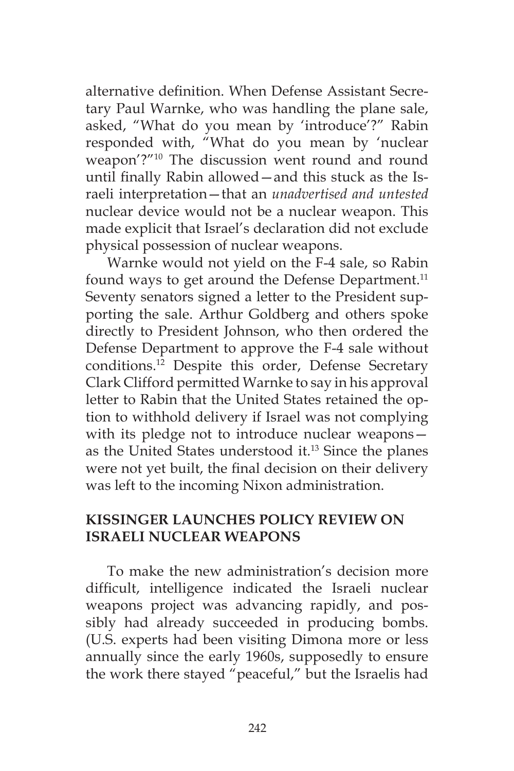alternative definition. When Defense Assistant Secretary Paul Warnke, who was handling the plane sale, asked, "What do you mean by 'introduce'?" Rabin responded with, "What do you mean by 'nuclear weapon'?"10 The discussion went round and round until finally Rabin allowed—and this stuck as the Israeli interpretation—that an *unadvertised and untested* nuclear device would not be a nuclear weapon. This made explicit that Israel's declaration did not exclude physical possession of nuclear weapons.

Warnke would not yield on the F-4 sale, so Rabin found ways to get around the Defense Department.<sup>11</sup> Seventy senators signed a letter to the President supporting the sale. Arthur Goldberg and others spoke directly to President Johnson, who then ordered the Defense Department to approve the F-4 sale without conditions.12 Despite this order, Defense Secretary Clark Clifford permitted Warnke to say in his approval letter to Rabin that the United States retained the option to withhold delivery if Israel was not complying with its pledge not to introduce nuclear weapons as the United States understood it.<sup>13</sup> Since the planes were not yet built, the final decision on their delivery was left to the incoming Nixon administration.

# **KISSINGER LAUNCHES POLICY REVIEW ON ISRAELI NUCLEAR WEAPONS**

To make the new administration's decision more difficult, intelligence indicated the Israeli nuclear weapons project was advancing rapidly, and possibly had already succeeded in producing bombs. (U.S. experts had been visiting Dimona more or less annually since the early 1960s, supposedly to ensure the work there stayed "peaceful," but the Israelis had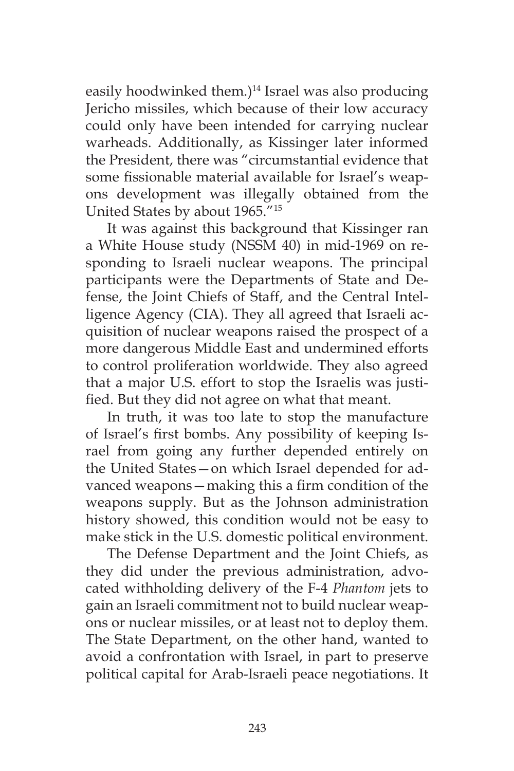easily hoodwinked them.)<sup>14</sup> Israel was also producing Jericho missiles, which because of their low accuracy could only have been intended for carrying nuclear warheads. Additionally, as Kissinger later informed the President, there was "circumstantial evidence that some fissionable material available for Israel's weapons development was illegally obtained from the United States by about 1965."15

It was against this background that Kissinger ran a White House study (NSSM 40) in mid-1969 on responding to Israeli nuclear weapons. The principal participants were the Departments of State and Defense, the Joint Chiefs of Staff, and the Central Intelligence Agency (CIA). They all agreed that Israeli acquisition of nuclear weapons raised the prospect of a more dangerous Middle East and undermined efforts to control proliferation worldwide. They also agreed that a major U.S. effort to stop the Israelis was justified. But they did not agree on what that meant.

In truth, it was too late to stop the manufacture of Israel's first bombs. Any possibility of keeping Israel from going any further depended entirely on the United States—on which Israel depended for advanced weapons—making this a firm condition of the weapons supply. But as the Johnson administration history showed, this condition would not be easy to make stick in the U.S. domestic political environment.

The Defense Department and the Joint Chiefs, as they did under the previous administration, advocated withholding delivery of the F-4 *Phantom* jets to gain an Israeli commitment not to build nuclear weapons or nuclear missiles, or at least not to deploy them. The State Department, on the other hand, wanted to avoid a confrontation with Israel, in part to preserve political capital for Arab-Israeli peace negotiations. It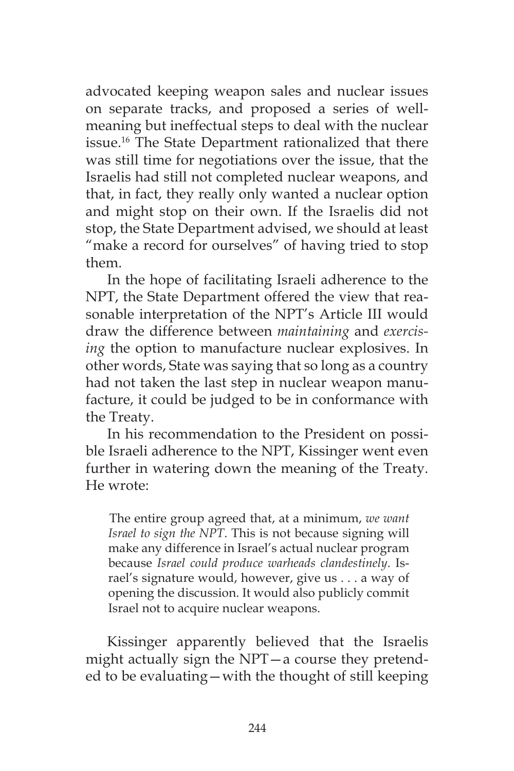advocated keeping weapon sales and nuclear issues on separate tracks, and proposed a series of wellmeaning but ineffectual steps to deal with the nuclear issue.16 The State Department rationalized that there was still time for negotiations over the issue, that the Israelis had still not completed nuclear weapons, and that, in fact, they really only wanted a nuclear option and might stop on their own. If the Israelis did not stop, the State Department advised, we should at least "make a record for ourselves" of having tried to stop them.

In the hope of facilitating Israeli adherence to the NPT, the State Department offered the view that reasonable interpretation of the NPT's Article III would draw the difference between *maintaining* and *exercising* the option to manufacture nuclear explosives. In other words, State was saying that so long as a country had not taken the last step in nuclear weapon manufacture, it could be judged to be in conformance with the Treaty.

In his recommendation to the President on possible Israeli adherence to the NPT, Kissinger went even further in watering down the meaning of the Treaty. He wrote:

The entire group agreed that, at a minimum, *we want Israel to sign the NPT*. This is not because signing will make any difference in Israel's actual nuclear program because *Israel could produce warheads clandestinely*. Israel's signature would, however, give us . . . a way of opening the discussion. It would also publicly commit Israel not to acquire nuclear weapons.

Kissinger apparently believed that the Israelis might actually sign the NPT—a course they pretended to be evaluating—with the thought of still keeping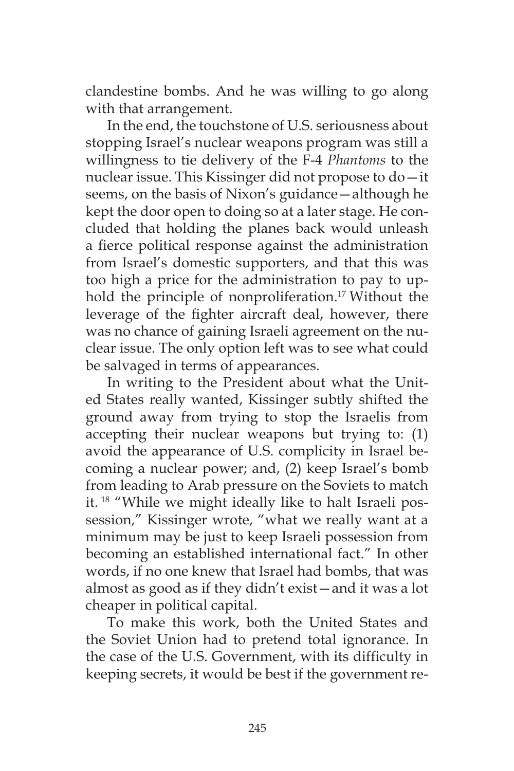clandestine bombs. And he was willing to go along with that arrangement.

In the end, the touchstone of U.S. seriousness about stopping Israel's nuclear weapons program was still a willingness to tie delivery of the F-4 *Phantoms* to the nuclear issue. This Kissinger did not propose to do—it seems, on the basis of Nixon's guidance—although he kept the door open to doing so at a later stage. He concluded that holding the planes back would unleash a fierce political response against the administration from Israel's domestic supporters, and that this was too high a price for the administration to pay to uphold the principle of nonproliferation.<sup>17</sup> Without the leverage of the fighter aircraft deal, however, there was no chance of gaining Israeli agreement on the nuclear issue. The only option left was to see what could be salvaged in terms of appearances.

In writing to the President about what the United States really wanted, Kissinger subtly shifted the ground away from trying to stop the Israelis from accepting their nuclear weapons but trying to: (1) avoid the appearance of U.S. complicity in Israel becoming a nuclear power; and, (2) keep Israel's bomb from leading to Arab pressure on the Soviets to match it. 18 "While we might ideally like to halt Israeli possession," Kissinger wrote, "what we really want at a minimum may be just to keep Israeli possession from becoming an established international fact." In other words, if no one knew that Israel had bombs, that was almost as good as if they didn't exist—and it was a lot cheaper in political capital.

To make this work, both the United States and the Soviet Union had to pretend total ignorance. In the case of the U.S. Government, with its difficulty in keeping secrets, it would be best if the government re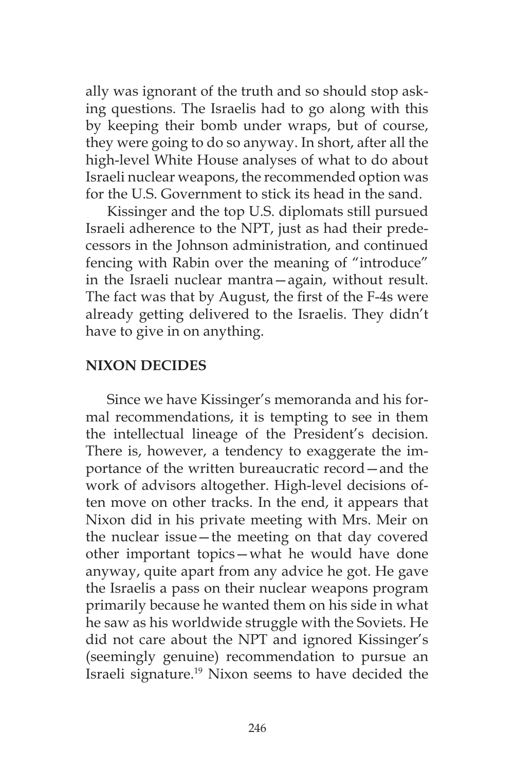ally was ignorant of the truth and so should stop asking questions. The Israelis had to go along with this by keeping their bomb under wraps, but of course, they were going to do so anyway. In short, after all the high-level White House analyses of what to do about Israeli nuclear weapons, the recommended option was for the U.S. Government to stick its head in the sand.

Kissinger and the top U.S. diplomats still pursued Israeli adherence to the NPT, just as had their predecessors in the Johnson administration, and continued fencing with Rabin over the meaning of "introduce" in the Israeli nuclear mantra—again, without result. The fact was that by August, the first of the F-4s were already getting delivered to the Israelis. They didn't have to give in on anything.

### **NIXON DECIDES**

Since we have Kissinger's memoranda and his formal recommendations, it is tempting to see in them the intellectual lineage of the President's decision. There is, however, a tendency to exaggerate the importance of the written bureaucratic record—and the work of advisors altogether. High-level decisions often move on other tracks. In the end, it appears that Nixon did in his private meeting with Mrs. Meir on the nuclear issue—the meeting on that day covered other important topics—what he would have done anyway, quite apart from any advice he got. He gave the Israelis a pass on their nuclear weapons program primarily because he wanted them on his side in what he saw as his worldwide struggle with the Soviets. He did not care about the NPT and ignored Kissinger's (seemingly genuine) recommendation to pursue an Israeli signature.19 Nixon seems to have decided the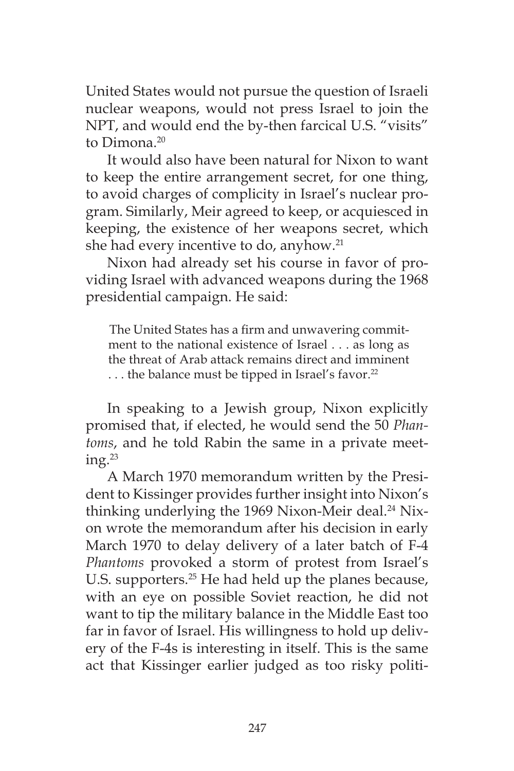United States would not pursue the question of Israeli nuclear weapons, would not press Israel to join the NPT, and would end the by-then farcical U.S. "visits" to Dimona.<sup>20</sup>

It would also have been natural for Nixon to want to keep the entire arrangement secret, for one thing, to avoid charges of complicity in Israel's nuclear program. Similarly, Meir agreed to keep, or acquiesced in keeping, the existence of her weapons secret, which she had every incentive to do, anyhow.<sup>21</sup>

Nixon had already set his course in favor of providing Israel with advanced weapons during the 1968 presidential campaign. He said:

The United States has a firm and unwavering commitment to the national existence of Israel . . . as long as the threat of Arab attack remains direct and imminent ... the balance must be tipped in Israel's favor.<sup>22</sup>

In speaking to a Jewish group, Nixon explicitly promised that, if elected, he would send the 50 *Phantoms*, and he told Rabin the same in a private meeting.23

A March 1970 memorandum written by the President to Kissinger provides further insight into Nixon's thinking underlying the 1969 Nixon-Meir deal.<sup>24</sup> Nixon wrote the memorandum after his decision in early March 1970 to delay delivery of a later batch of F-4 *Phantoms* provoked a storm of protest from Israel's U.S. supporters.<sup>25</sup> He had held up the planes because, with an eye on possible Soviet reaction, he did not want to tip the military balance in the Middle East too far in favor of Israel. His willingness to hold up delivery of the F-4s is interesting in itself. This is the same act that Kissinger earlier judged as too risky politi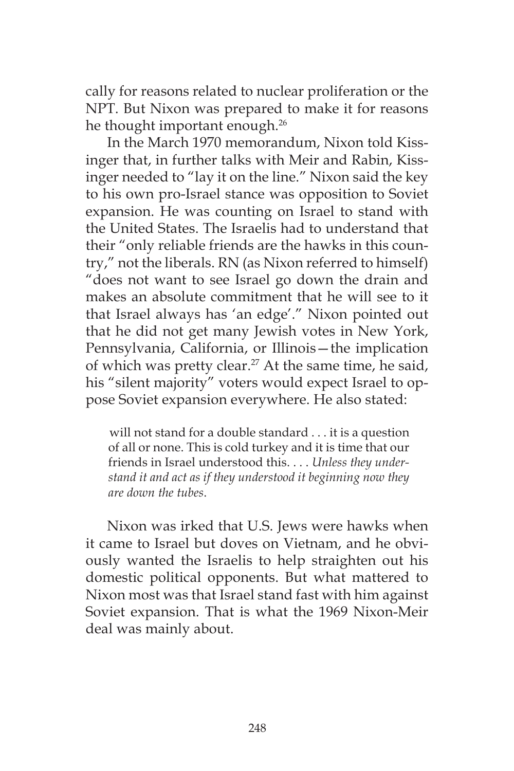cally for reasons related to nuclear proliferation or the NPT. But Nixon was prepared to make it for reasons he thought important enough.<sup>26</sup>

In the March 1970 memorandum, Nixon told Kissinger that, in further talks with Meir and Rabin, Kissinger needed to "lay it on the line." Nixon said the key to his own pro-Israel stance was opposition to Soviet expansion. He was counting on Israel to stand with the United States. The Israelis had to understand that their "only reliable friends are the hawks in this country," not the liberals. RN (as Nixon referred to himself) "does not want to see Israel go down the drain and makes an absolute commitment that he will see to it that Israel always has 'an edge'." Nixon pointed out that he did not get many Jewish votes in New York, Pennsylvania, California, or Illinois—the implication of which was pretty clear.<sup>27</sup> At the same time, he said, his "silent majority" voters would expect Israel to oppose Soviet expansion everywhere. He also stated:

will not stand for a double standard . . . it is a question of all or none. This is cold turkey and it is time that our friends in Israel understood this. . . . *Unless they understand it and act as if they understood it beginning now they are down the tubes*.

Nixon was irked that U.S. Jews were hawks when it came to Israel but doves on Vietnam, and he obviously wanted the Israelis to help straighten out his domestic political opponents. But what mattered to Nixon most was that Israel stand fast with him against Soviet expansion. That is what the 1969 Nixon-Meir deal was mainly about.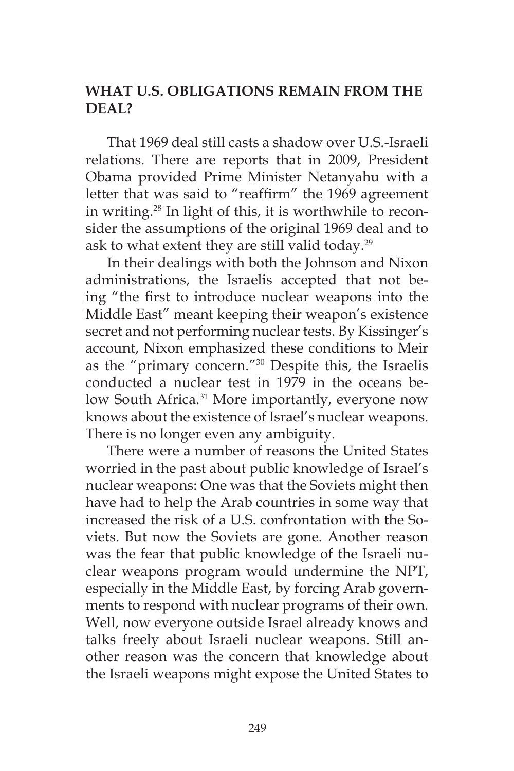# **WHAT U.S. OBLIGATIONS REMAIN FROM THE DEAL?**

That 1969 deal still casts a shadow over U.S.-Israeli relations. There are reports that in 2009, President Obama provided Prime Minister Netanyahu with a letter that was said to "reaffirm" the 1969 agreement in writing.28 In light of this, it is worthwhile to reconsider the assumptions of the original 1969 deal and to ask to what extent they are still valid today.<sup>29</sup>

In their dealings with both the Johnson and Nixon administrations, the Israelis accepted that not being "the first to introduce nuclear weapons into the Middle East" meant keeping their weapon's existence secret and not performing nuclear tests. By Kissinger's account, Nixon emphasized these conditions to Meir as the "primary concern."30 Despite this, the Israelis conducted a nuclear test in 1979 in the oceans below South Africa.<sup>31</sup> More importantly, everyone now knows about the existence of Israel's nuclear weapons. There is no longer even any ambiguity.

There were a number of reasons the United States worried in the past about public knowledge of Israel's nuclear weapons: One was that the Soviets might then have had to help the Arab countries in some way that increased the risk of a U.S. confrontation with the Soviets. But now the Soviets are gone. Another reason was the fear that public knowledge of the Israeli nuclear weapons program would undermine the NPT, especially in the Middle East, by forcing Arab governments to respond with nuclear programs of their own. Well, now everyone outside Israel already knows and talks freely about Israeli nuclear weapons. Still another reason was the concern that knowledge about the Israeli weapons might expose the United States to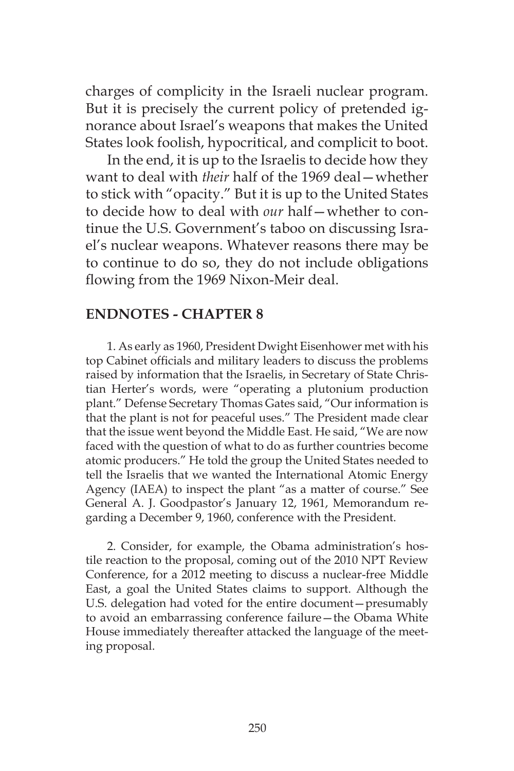charges of complicity in the Israeli nuclear program. But it is precisely the current policy of pretended ignorance about Israel's weapons that makes the United States look foolish, hypocritical, and complicit to boot.

In the end, it is up to the Israelis to decide how they want to deal with *their* half of the 1969 deal—whether to stick with "opacity." But it is up to the United States to decide how to deal with *our* half—whether to continue the U.S. Government's taboo on discussing Israel's nuclear weapons. Whatever reasons there may be to continue to do so, they do not include obligations flowing from the 1969 Nixon-Meir deal.

#### **ENDNOTES - CHAPTER 8**

1. As early as 1960, President Dwight Eisenhower met with his top Cabinet officials and military leaders to discuss the problems raised by information that the Israelis, in Secretary of State Christian Herter's words, were "operating a plutonium production plant." Defense Secretary Thomas Gates said, "Our information is that the plant is not for peaceful uses." The President made clear that the issue went beyond the Middle East. He said, "We are now faced with the question of what to do as further countries become atomic producers." He told the group the United States needed to tell the Israelis that we wanted the International Atomic Energy Agency (IAEA) to inspect the plant "as a matter of course." See General A. J. Goodpastor's January 12, 1961, Memorandum regarding a December 9, 1960, conference with the President.

2. Consider, for example, the Obama administration's hostile reaction to the proposal, coming out of the 2010 NPT Review Conference, for a 2012 meeting to discuss a nuclear-free Middle East, a goal the United States claims to support. Although the U.S. delegation had voted for the entire document—presumably to avoid an embarrassing conference failure—the Obama White House immediately thereafter attacked the language of the meeting proposal.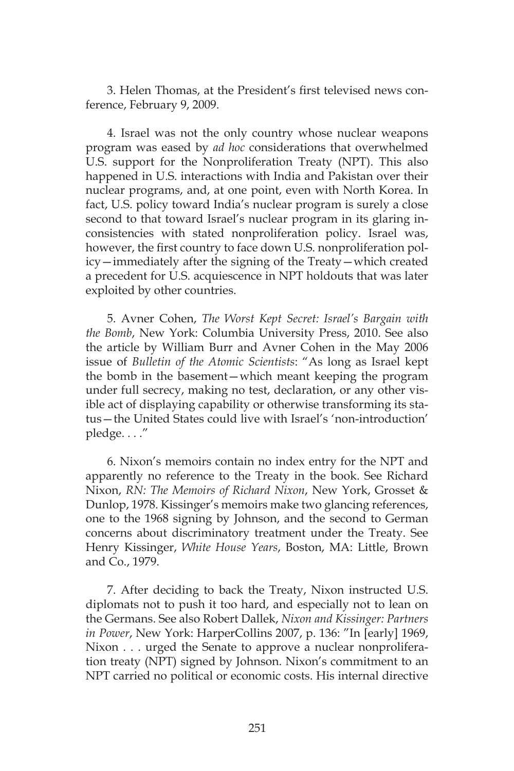3. Helen Thomas, at the President's first televised news conference, February 9, 2009.

4. Israel was not the only country whose nuclear weapons program was eased by *ad hoc* considerations that overwhelmed U.S. support for the Nonproliferation Treaty (NPT). This also happened in U.S. interactions with India and Pakistan over their nuclear programs, and, at one point, even with North Korea. In fact, U.S. policy toward India's nuclear program is surely a close second to that toward Israel's nuclear program in its glaring inconsistencies with stated nonproliferation policy. Israel was, however, the first country to face down U.S. nonproliferation policy—immediately after the signing of the Treaty—which created a precedent for U.S. acquiescence in NPT holdouts that was later exploited by other countries.

5. Avner Cohen, *The Worst Kept Secret: Israel's Bargain with the Bomb*, New York: Columbia University Press, 2010. See also the article by William Burr and Avner Cohen in the May 2006 issue of *Bulletin of the Atomic Scientists*: "As long as Israel kept the bomb in the basement—which meant keeping the program under full secrecy, making no test, declaration, or any other visible act of displaying capability or otherwise transforming its status—the United States could live with Israel's 'non-introduction' pledge. . . ."

6. Nixon's memoirs contain no index entry for the NPT and apparently no reference to the Treaty in the book. See Richard Nixon, *RN: The Memoirs of Richard Nixon*, New York, Grosset & Dunlop, 1978. Kissinger's memoirs make two glancing references, one to the 1968 signing by Johnson, and the second to German concerns about discriminatory treatment under the Treaty. See Henry Kissinger, *White House Years*, Boston, MA: Little, Brown and Co., 1979.

7. After deciding to back the Treaty, Nixon instructed U.S. diplomats not to push it too hard, and especially not to lean on the Germans. See also Robert Dallek, *Nixon and Kissinger: Partners in Power*, New York: HarperCollins 2007, p. 136: "In [early] 1969, Nixon . . . urged the Senate to approve a nuclear nonproliferation treaty (NPT) signed by Johnson. Nixon's commitment to an NPT carried no political or economic costs. His internal directive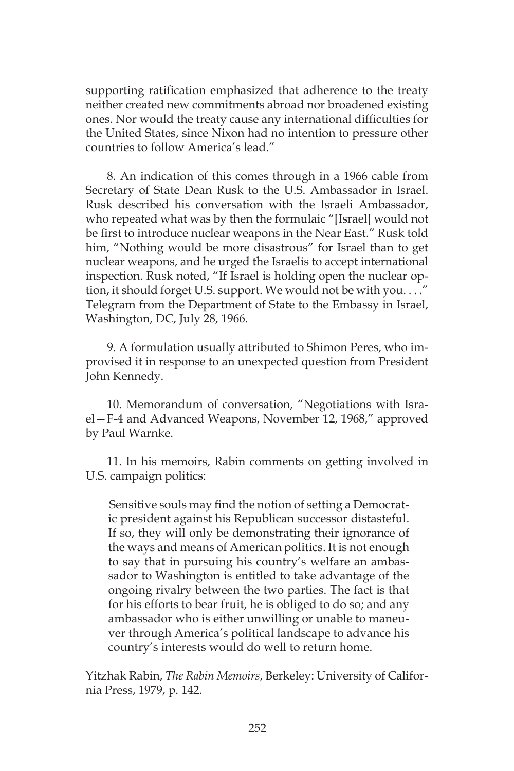supporting ratification emphasized that adherence to the treaty neither created new commitments abroad nor broadened existing ones. Nor would the treaty cause any international difficulties for the United States, since Nixon had no intention to pressure other countries to follow America's lead."

8. An indication of this comes through in a 1966 cable from Secretary of State Dean Rusk to the U.S. Ambassador in Israel. Rusk described his conversation with the Israeli Ambassador, who repeated what was by then the formulaic "[Israel] would not be first to introduce nuclear weapons in the Near East." Rusk told him, "Nothing would be more disastrous" for Israel than to get nuclear weapons, and he urged the Israelis to accept international inspection. Rusk noted, "If Israel is holding open the nuclear option, it should forget U.S. support. We would not be with you. . . ." Telegram from the Department of State to the Embassy in Israel, Washington, DC, July 28, 1966.

9. A formulation usually attributed to Shimon Peres, who improvised it in response to an unexpected question from President John Kennedy.

10. Memorandum of conversation, "Negotiations with Israel—F-4 and Advanced Weapons, November 12, 1968," approved by Paul Warnke.

11. In his memoirs, Rabin comments on getting involved in U.S. campaign politics:

Sensitive souls may find the notion of setting a Democratic president against his Republican successor distasteful. If so, they will only be demonstrating their ignorance of the ways and means of American politics. It is not enough to say that in pursuing his country's welfare an ambassador to Washington is entitled to take advantage of the ongoing rivalry between the two parties. The fact is that for his efforts to bear fruit, he is obliged to do so; and any ambassador who is either unwilling or unable to maneuver through America's political landscape to advance his country's interests would do well to return home.

Yitzhak Rabin, *The Rabin Memoirs*, Berkeley: University of California Press, 1979, p. 142.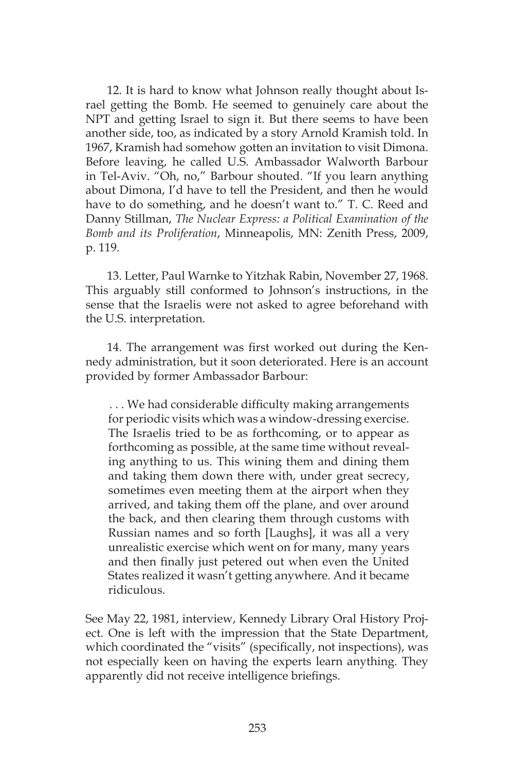12. It is hard to know what Johnson really thought about Israel getting the Bomb. He seemed to genuinely care about the NPT and getting Israel to sign it. But there seems to have been another side, too, as indicated by a story Arnold Kramish told. In 1967, Kramish had somehow gotten an invitation to visit Dimona. Before leaving, he called U.S. Ambassador Walworth Barbour in Tel-Aviv. "Oh, no," Barbour shouted. "If you learn anything about Dimona, I'd have to tell the President, and then he would have to do something, and he doesn't want to." T. C. Reed and Danny Stillman, *The Nuclear Express: a Political Examination of the Bomb and its Proliferation*, Minneapolis, MN: Zenith Press, 2009, p. 119.

13. Letter, Paul Warnke to Yitzhak Rabin, November 27, 1968. This arguably still conformed to Johnson's instructions, in the sense that the Israelis were not asked to agree beforehand with the U.S. interpretation.

14. The arrangement was first worked out during the Kennedy administration, but it soon deteriorated. Here is an account provided by former Ambassador Barbour:

. . . We had considerable difficulty making arrangements for periodic visits which was a window-dressing exercise. The Israelis tried to be as forthcoming, or to appear as forthcoming as possible, at the same time without revealing anything to us. This wining them and dining them and taking them down there with, under great secrecy, sometimes even meeting them at the airport when they arrived, and taking them off the plane, and over around the back, and then clearing them through customs with Russian names and so forth [Laughs], it was all a very unrealistic exercise which went on for many, many years and then finally just petered out when even the United States realized it wasn't getting anywhere. And it became ridiculous.

See May 22, 1981, interview, Kennedy Library Oral History Project. One is left with the impression that the State Department, which coordinated the "visits" (specifically, not inspections), was not especially keen on having the experts learn anything. They apparently did not receive intelligence briefings.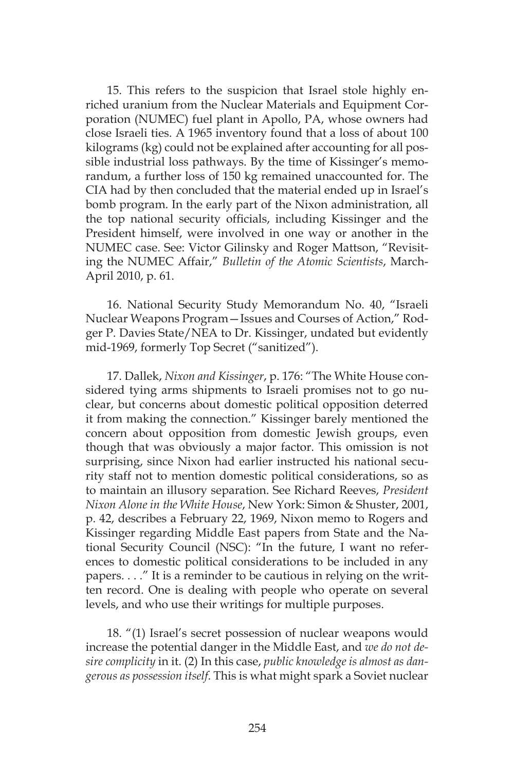15. This refers to the suspicion that Israel stole highly enriched uranium from the Nuclear Materials and Equipment Corporation (NUMEC) fuel plant in Apollo, PA, whose owners had close Israeli ties. A 1965 inventory found that a loss of about 100 kilograms (kg) could not be explained after accounting for all possible industrial loss pathways. By the time of Kissinger's memorandum, a further loss of 150 kg remained unaccounted for. The CIA had by then concluded that the material ended up in Israel's bomb program. In the early part of the Nixon administration, all the top national security officials, including Kissinger and the President himself, were involved in one way or another in the NUMEC case. See: Victor Gilinsky and Roger Mattson, "Revisiting the NUMEC Affair," *Bulletin of the Atomic Scientists*, March-April 2010, p. 61.

16. National Security Study Memorandum No. 40, "Israeli Nuclear Weapons Program—Issues and Courses of Action," Rodger P. Davies State/NEA to Dr. Kissinger, undated but evidently mid-1969, formerly Top Secret ("sanitized").

17. Dallek, *Nixon and Kissinger*, p. 176: "The White House considered tying arms shipments to Israeli promises not to go nuclear, but concerns about domestic political opposition deterred it from making the connection." Kissinger barely mentioned the concern about opposition from domestic Jewish groups, even though that was obviously a major factor. This omission is not surprising, since Nixon had earlier instructed his national security staff not to mention domestic political considerations, so as to maintain an illusory separation. See Richard Reeves, *President Nixon Alone in the White House*, New York: Simon & Shuster, 2001, p. 42, describes a February 22, 1969, Nixon memo to Rogers and Kissinger regarding Middle East papers from State and the National Security Council (NSC): "In the future, I want no references to domestic political considerations to be included in any papers. . . ." It is a reminder to be cautious in relying on the written record. One is dealing with people who operate on several levels, and who use their writings for multiple purposes.

18. "(1) Israel's secret possession of nuclear weapons would increase the potential danger in the Middle East, and *we do not desire complicity* in it. (2) In this case, *public knowledge is almost as dangerous as possession itself*. This is what might spark a Soviet nuclear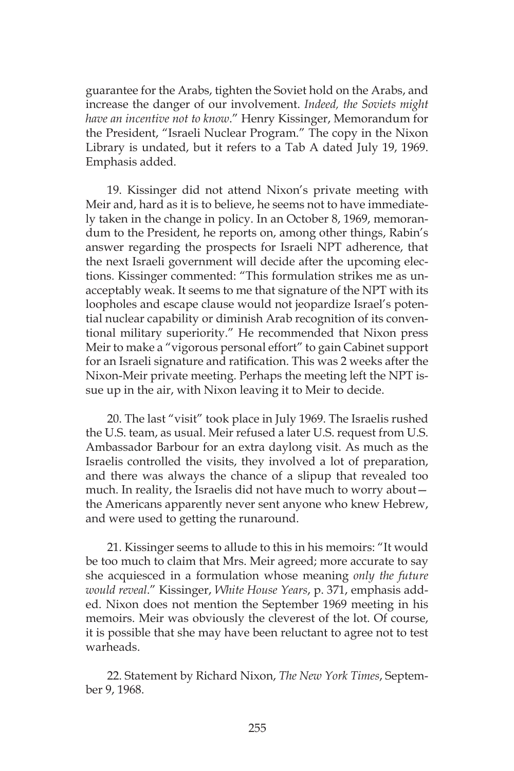guarantee for the Arabs, tighten the Soviet hold on the Arabs, and increase the danger of our involvement. *Indeed, the Soviets might have an incentive not to know*." Henry Kissinger, Memorandum for the President, "Israeli Nuclear Program." The copy in the Nixon Library is undated, but it refers to a Tab A dated July 19, 1969. Emphasis added.

19. Kissinger did not attend Nixon's private meeting with Meir and, hard as it is to believe, he seems not to have immediately taken in the change in policy. In an October 8, 1969, memorandum to the President, he reports on, among other things, Rabin's answer regarding the prospects for Israeli NPT adherence, that the next Israeli government will decide after the upcoming elections. Kissinger commented: "This formulation strikes me as unacceptably weak. It seems to me that signature of the NPT with its loopholes and escape clause would not jeopardize Israel's potential nuclear capability or diminish Arab recognition of its conventional military superiority." He recommended that Nixon press Meir to make a "vigorous personal effort" to gain Cabinet support for an Israeli signature and ratification. This was 2 weeks after the Nixon-Meir private meeting. Perhaps the meeting left the NPT issue up in the air, with Nixon leaving it to Meir to decide.

20. The last "visit" took place in July 1969. The Israelis rushed the U.S. team, as usual. Meir refused a later U.S. request from U.S. Ambassador Barbour for an extra daylong visit. As much as the Israelis controlled the visits, they involved a lot of preparation, and there was always the chance of a slipup that revealed too much. In reality, the Israelis did not have much to worry about the Americans apparently never sent anyone who knew Hebrew, and were used to getting the runaround.

21. Kissinger seems to allude to this in his memoirs: "It would be too much to claim that Mrs. Meir agreed; more accurate to say she acquiesced in a formulation whose meaning *only the future would reveal*." Kissinger, *White House Years*, p. 371, emphasis added. Nixon does not mention the September 1969 meeting in his memoirs. Meir was obviously the cleverest of the lot. Of course, it is possible that she may have been reluctant to agree not to test warheads.

22. Statement by Richard Nixon, *The New York Times*, September 9, 1968.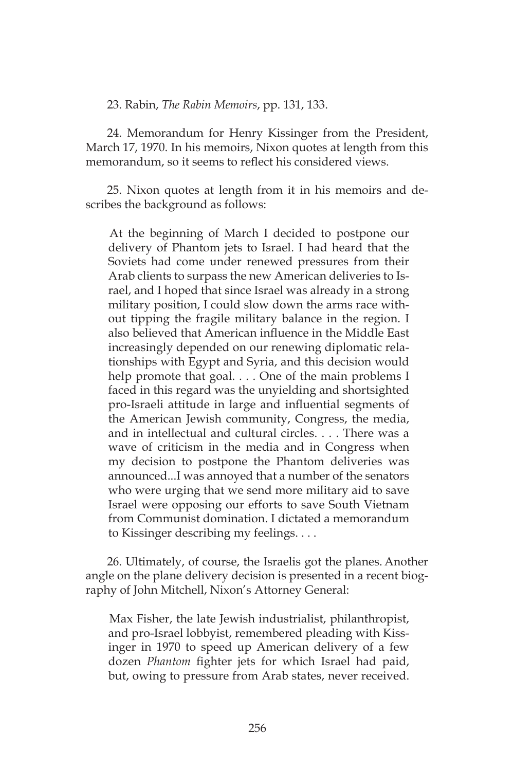23. Rabin, *The Rabin Memoirs*, pp. 131, 133.

24. Memorandum for Henry Kissinger from the President, March 17, 1970. In his memoirs, Nixon quotes at length from this memorandum, so it seems to reflect his considered views.

25. Nixon quotes at length from it in his memoirs and describes the background as follows:

At the beginning of March I decided to postpone our delivery of Phantom jets to Israel. I had heard that the Soviets had come under renewed pressures from their Arab clients to surpass the new American deliveries to Israel, and I hoped that since Israel was already in a strong military position, I could slow down the arms race without tipping the fragile military balance in the region. I also believed that American influence in the Middle East increasingly depended on our renewing diplomatic relationships with Egypt and Syria, and this decision would help promote that goal. . . . One of the main problems I faced in this regard was the unyielding and shortsighted pro-Israeli attitude in large and influential segments of the American Jewish community, Congress, the media, and in intellectual and cultural circles. . . . There was a wave of criticism in the media and in Congress when my decision to postpone the Phantom deliveries was announced...I was annoyed that a number of the senators who were urging that we send more military aid to save Israel were opposing our efforts to save South Vietnam from Communist domination. I dictated a memorandum to Kissinger describing my feelings. . . .

26. Ultimately, of course, the Israelis got the planes. Another angle on the plane delivery decision is presented in a recent biography of John Mitchell, Nixon's Attorney General:

Max Fisher, the late Jewish industrialist, philanthropist, and pro-Israel lobbyist, remembered pleading with Kissinger in 1970 to speed up American delivery of a few dozen *Phantom* fighter jets for which Israel had paid, but, owing to pressure from Arab states, never received.